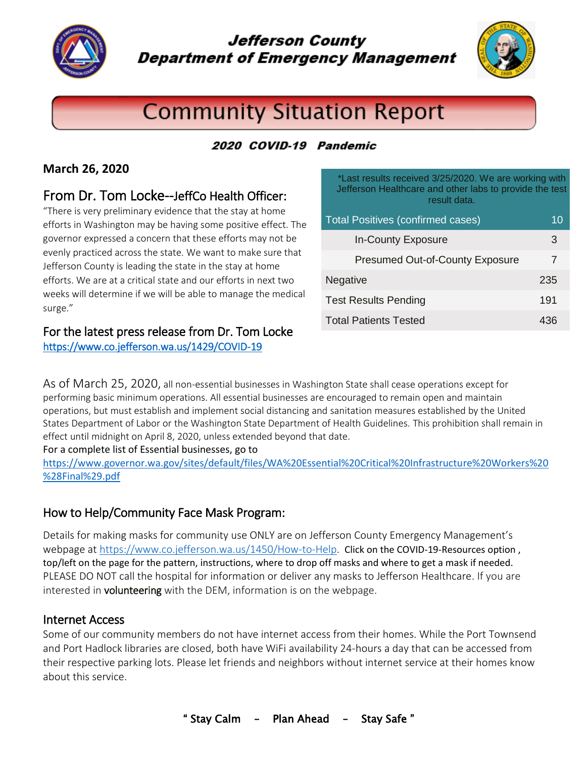

**Jefferson County Department of Emergency Management** 



# **Community Situation Report**

# 2020 COVID-19 Pandemic

## **March 26, 2020**

# From Dr. Tom Locke--JeffCo Health Officer:

"There is very preliminary evidence that the stay at home efforts in Washington may be having some positive effect. The governor expressed a concern that these efforts may not be evenly practiced across the state. We want to make sure that Jefferson County is leading the state in the stay at home efforts. We are at a critical state and our efforts in next two weeks will determine if we will be able to manage the medical surge."

#### For the latest press release from Dr. Tom Locke <https://www.co.jefferson.wa.us/1429/COVID-19>

result data. Total Positives (confirmed cases) 10

\*Last results received 3/25/2020. We are working with Jefferson Healthcare and other labs to provide the test

| <b>In-County Exposure</b>              | З   |
|----------------------------------------|-----|
| <b>Presumed Out-of-County Exposure</b> | 7   |
| Negative                               | 235 |
| <b>Test Results Pending</b>            | 191 |
| <b>Total Patients Tested</b>           | 436 |

As of March 25, 2020, all non-essential businesses in Washington State shall cease operations except for performing basic minimum operations. All essential businesses are encouraged to remain open and maintain operations, but must establish and implement social distancing and sanitation measures established by the United States Department of Labor or the Washington State Department of Health Guidelines. This prohibition shall remain in effect until midnight on April 8, 2020, unless extended beyond that date.

For a complete list of Essential businesses, go to

[https://www.governor.wa.gov/sites/default/files/WA%20Essential%20Critical%20Infrastructure%20Workers%20](https://www.governor.wa.gov/sites/default/files/WA%20Essential%20Critical%20Infrastructure%20Workers%20%28Final%29.pdf) [%28Final%29.pdf](https://www.governor.wa.gov/sites/default/files/WA%20Essential%20Critical%20Infrastructure%20Workers%20%28Final%29.pdf)

# How to Help/Community Face Mask Program:

Details for making masks for community use ONLY are on Jefferson County Emergency Management's webpage at [https://www.co.jefferson.wa.us/1450/How-to-Help.](https://www.co.jefferson.wa.us/1450/How-to-Help) Click on the COVID-19-Resources option, top/left on the page for the pattern, instructions, where to drop off masks and where to get a mask if needed. PLEASE DO NOT call the hospital for information or deliver any masks to Jefferson Healthcare. If you are interested in volunteering with the DEM, information is on the webpage.

#### Internet Access

Some of our community members do not have internet access from their homes. While the Port Townsend and Port Hadlock libraries are closed, both have WiFi availability 24-hours a day that can be accessed from their respective parking lots. Please let friends and neighbors without internet service at their homes know about this service.